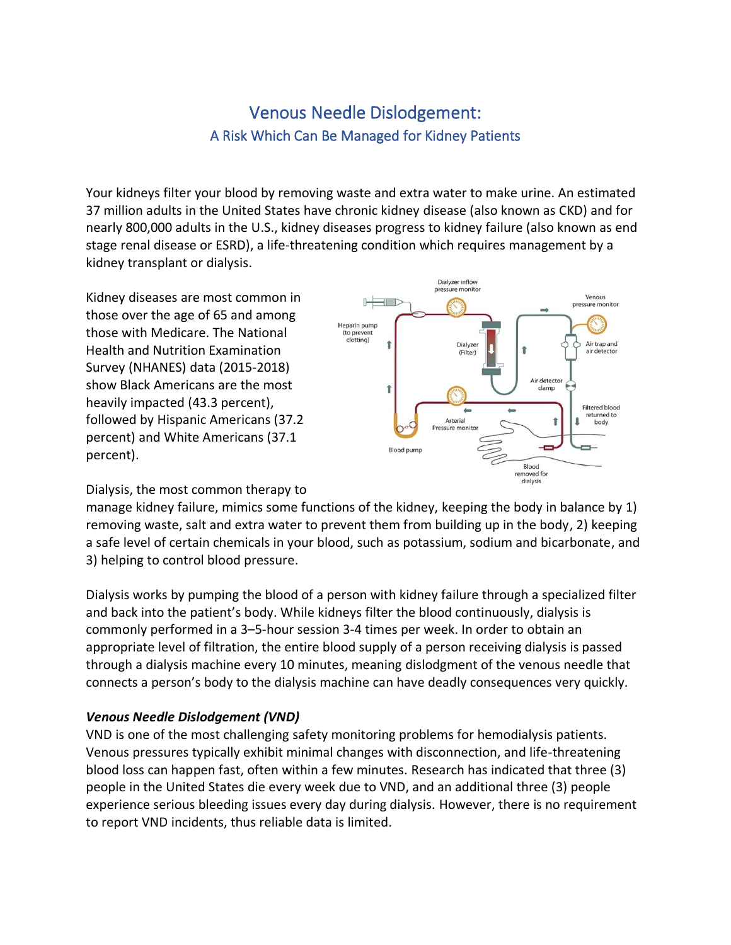# Venous Needle Dislodgement: A Risk Which Can Be Managed for Kidney Patients

Your kidneys filter your blood by removing waste and extra water to make urine. An estimated 37 million adults in the United States have chronic kidney disease (also known as CKD) and for nearly 800,000 adults in the U.S., kidney diseases progress to kidney failure (also known as end stage renal disease or ESRD), a life-threatening condition which requires management by a kidney transplant or dialysis.

Kidney diseases are most common in those over the age of 65 and among those with Medicare. The National Health and Nutrition Examination Survey (NHANES) data (2015-2018) show Black Americans are the most heavily impacted (43.3 percent), followed by Hispanic Americans (37.2 percent) and White Americans (37.1 percent).



## Dialysis, the most common therapy to

manage kidney failure, mimics some functions of the kidney, keeping the body in balance by 1) removing waste, salt and extra water to prevent them from building up in the body, 2) keeping a safe level of certain chemicals in your blood, such as potassium, sodium and bicarbonate, and 3) helping to control blood pressure.

Dialysis works by pumping the blood of a person with kidney failure through a specialized filter and back into the patient's body. While kidneys filter the blood continuously, dialysis is commonly performed in a 3–5-hour session 3-4 times per week. In order to obtain an appropriate level of filtration, the entire blood supply of a person receiving dialysis is passed through a dialysis machine every 10 minutes, meaning dislodgment of the venous needle that connects a person's body to the dialysis machine can have deadly consequences very quickly.

## *Venous Needle Dislodgement (VND)*

VND is one of the most challenging safety monitoring problems for hemodialysis patients. Venous pressures typically exhibit minimal changes with disconnection, and life-threatening blood loss can happen fast, often within a few minutes. Research has indicated that three (3) people in the United States die every week due to VND, and an additional three (3) people experience serious bleeding issues every day during dialysis. However, there is no requirement to report VND incidents, thus reliable data is limited.